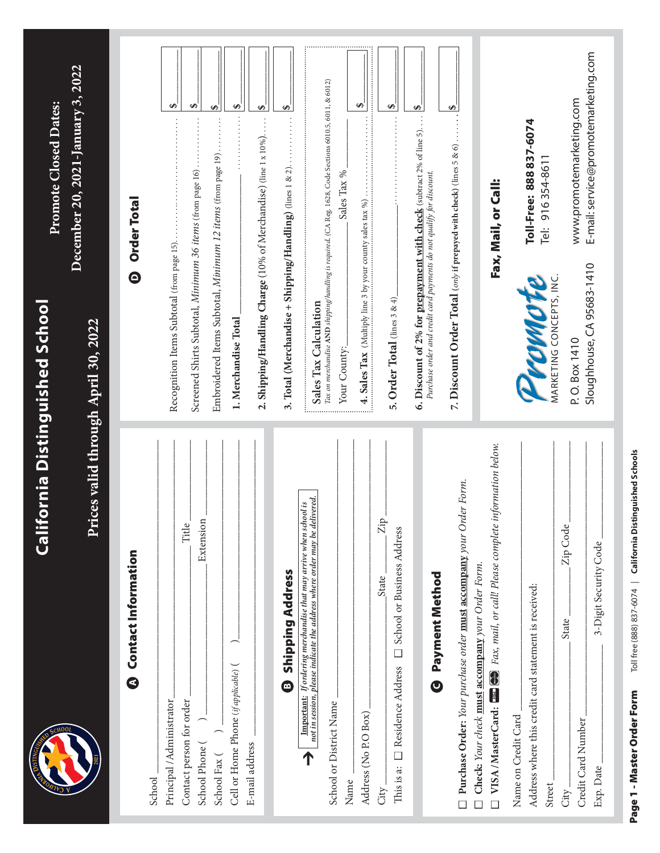|                                                                                                                                                | California Distinguished School |                                                                                 | <b>Promote Closed Dates:</b>                                                                             |    |
|------------------------------------------------------------------------------------------------------------------------------------------------|---------------------------------|---------------------------------------------------------------------------------|----------------------------------------------------------------------------------------------------------|----|
|                                                                                                                                                | Pri                             | ces valid through April 30, 2022                                                | December 20, 2021-January 3, 2022                                                                        |    |
| <b>a</b> Contact Information                                                                                                                   |                                 | $\bullet$                                                                       | <b>Order Total</b>                                                                                       |    |
| School                                                                                                                                         |                                 |                                                                                 |                                                                                                          |    |
| Principal /Administrator                                                                                                                       |                                 | Recognition Items Subtotal (from page 15).                                      |                                                                                                          | ↮  |
| Contact person for order                                                                                                                       | Title                           |                                                                                 |                                                                                                          |    |
| School Phone (                                                                                                                                 | Extension                       | Screened Shirts Subtotal, Minimum 36 items (from page 16)                       |                                                                                                          | ↮  |
| School Fax (                                                                                                                                   |                                 |                                                                                 | Embroidered Items Subtotal, Minimum 12 items (from page 19)                                              | မာ |
| Cell or Home Phone (if applicable) (                                                                                                           |                                 | 1. Merchandise Total                                                            |                                                                                                          | ↮  |
| E-mail address                                                                                                                                 |                                 |                                                                                 |                                                                                                          |    |
|                                                                                                                                                |                                 |                                                                                 | 2. Shipping/Handling Charge (10% of Merchandise) (line 1 x 10%)                                          | ∽, |
| <b>3 Shipping Address</b>                                                                                                                      |                                 | 3. Total (Merchandise + Shipping/Handling) (lines 1 & 2).                       |                                                                                                          | ↮  |
| not in session, please indicate the address where order may be delivered.<br>Important: If ordering merchandise that may arrive when school is |                                 |                                                                                 |                                                                                                          |    |
| School or District Name                                                                                                                        |                                 | Sales Tax Calculation                                                           | Tax on merchandise AND shipping/handling is required. (CA Reg. 1628, Code Sections 6010.5, 6011, & 6012) |    |
| Name                                                                                                                                           |                                 | Your County:                                                                    | Sales Tax %                                                                                              |    |
| Address (No P.O Box)                                                                                                                           |                                 | <b>4. Sales Tax</b> (Multiply line 3 by your county sales tax $\frac{\%}{\%}$ ) |                                                                                                          | ↮  |
| State<br>City.                                                                                                                                 | $\rm{Zip}$                      |                                                                                 |                                                                                                          |    |
| School or Business Address<br>$\Box$<br>□ Residence Address<br>This is a:                                                                      |                                 | 5. Order Total $_{\text{(lines 3 \& 4)}}$                                       |                                                                                                          | ₩  |
|                                                                                                                                                |                                 |                                                                                 | 6. Discount of 2% for prepayment with check (subtract 2% of line 5).                                     | S, |
| <b>Bayment Method</b>                                                                                                                          |                                 | Purchase order and credit card payments do not qualify for discount.            |                                                                                                          |    |
| Purchase Order: Your purchase order must accompany your Order Form.                                                                            |                                 |                                                                                 | 7. Discount Order Total (only if prepayed with check) (lines $5 & 6$ )                                   | Ø  |
| Check: Your check must accompany your Order Form.                                                                                              |                                 |                                                                                 |                                                                                                          |    |
|                                                                                                                                                |                                 |                                                                                 | Fax, Mail, or Call:                                                                                      |    |
| Name on Credit Card                                                                                                                            |                                 |                                                                                 |                                                                                                          |    |
| Address where this credit card statement is received:                                                                                          |                                 | Promote                                                                         | Toll-Free: 888 837-6074                                                                                  |    |
| Street                                                                                                                                         |                                 | MARKETING CONCEPTS, INC.                                                        | Tel: 916 354-8611                                                                                        |    |
| State<br>City.                                                                                                                                 | Zip Code                        | P.O. Box 1410                                                                   |                                                                                                          |    |
| Credit Card Number                                                                                                                             |                                 | Sloughhouse, CA 95683-1410                                                      | E-mail: service@promotemarketing.com<br>www.promotemarketing.com                                         |    |
| 3-Digit Security Code<br>Exp. Date                                                                                                             |                                 |                                                                                 |                                                                                                          |    |

Page 1 - Master Order Form Toll free (888) 837-6074 | California Distinguished Schools Page 1 - Master Order Form Toll free (888) 837-6074 | **California Distinguished Schools**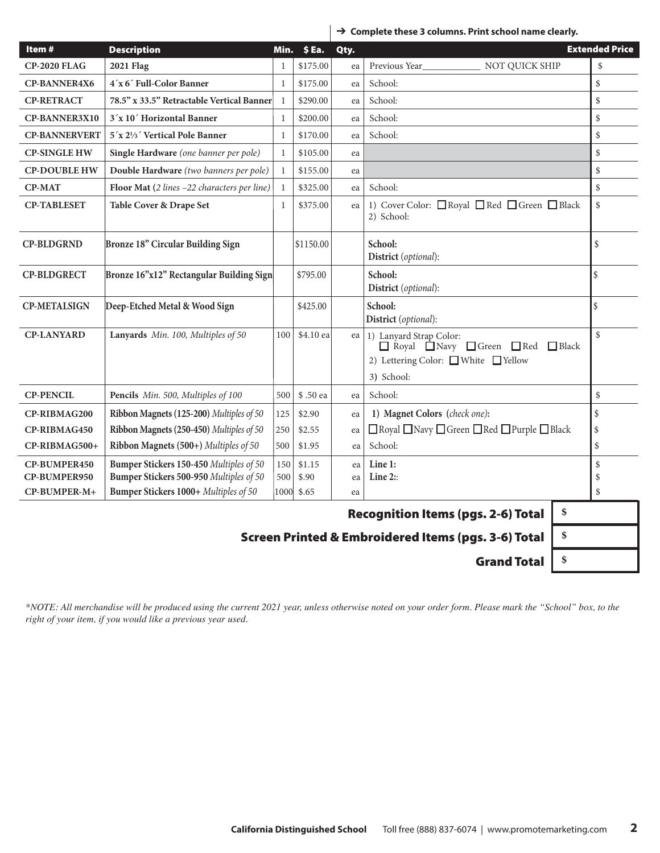|  | $\rightarrow$ Complete these 3 columns. Print school name clearly. |  |  |  |
|--|--------------------------------------------------------------------|--|--|--|
|--|--------------------------------------------------------------------|--|--|--|

| Item#                | <b>Description</b>                          | Min.         | \$Ea.     | Qty. |                                                                                                                     | <b>Extended Price</b> |
|----------------------|---------------------------------------------|--------------|-----------|------|---------------------------------------------------------------------------------------------------------------------|-----------------------|
| <b>CP-2020 FLAG</b>  | <b>2021 Flag</b>                            | 1            | \$175.00  | ea   | Previous Year<br>NOT QUICK SHIP                                                                                     | \$                    |
| <b>CP-BANNER4X6</b>  | 4'x 6' Full-Color Banner                    | $\mathbf{1}$ | \$175.00  | ea   | School:                                                                                                             | \$                    |
| <b>CP-RETRACT</b>    | 78.5" x 33.5" Retractable Vertical Banner   | $\mathbf{1}$ | \$290.00  | ea   | School:                                                                                                             | \$                    |
| <b>CP-BANNER3X10</b> | 3'x 10' Horizontal Banner                   | 1            | \$200.00  | ea   | School:                                                                                                             | \$                    |
| <b>CP-BANNERVERT</b> | 5'x 21/3' Vertical Pole Banner              | $\mathbf{1}$ | \$170.00  | ea   | School:                                                                                                             | \$                    |
| <b>CP-SINGLE HW</b>  | Single Hardware (one banner per pole)       | 1            | \$105.00  | ea   |                                                                                                                     | \$                    |
| <b>CP-DOUBLE HW</b>  | Double Hardware (two banners per pole)      | $\mathbf{1}$ | \$155.00  | ea   |                                                                                                                     | \$                    |
| <b>CP-MAT</b>        | Floor Mat (2 lines -22 characters per line) | $\mathbf{1}$ | \$325.00  | ea   | School:                                                                                                             | $\$$                  |
| <b>CP-TABLESET</b>   | Table Cover & Drape Set                     | $\mathbf{1}$ | \$375.00  | ea   | 1) Cover Color: □ Royal □ Red □ Green □ Black<br>2) School:                                                         | $\$$                  |
| <b>CP-BLDGRND</b>    | Bronze 18" Circular Building Sign           |              | \$1150.00 |      | School:<br>District (optional):                                                                                     | \$                    |
| <b>CP-BLDGRECT</b>   | Bronze 16"x12" Rectangular Building Sign    |              | \$795.00  |      | School:<br>District (optional):                                                                                     | \$                    |
| <b>CP-METALSIGN</b>  | Deep-Etched Metal & Wood Sign               |              | \$425.00  |      | School:<br>District (optional):                                                                                     | \$                    |
| <b>CP-LANYARD</b>    | Lanyards Min. 100, Multiples of 50          | 100          | \$4.10 ea | ea   | 1) Lanyard Strap Color:<br>Red Navy Green Red<br>$\Box$ Black<br>2) Lettering Color: □ White □ Yellow<br>3) School: | $\mathbb{S}$          |
| <b>CP-PENCIL</b>     | Pencils Min. 500, Multiples of 100          | 500          | \$.50 ea  | ea   | School:                                                                                                             | $\$$                  |
| CP-RIBMAG200         | Ribbon Magnets (125-200) Multiples of 50    | 125          | \$2.90    | ea   | 1) Magnet Colors (check one):                                                                                       | \$                    |
| CP-RIBMAG450         | Ribbon Magnets (250-450) Multiples of 50    | 250          | \$2.55    | ea   | □ Royal □ Navy □ Green □ Red □ Purple □ Black                                                                       | \$                    |
| CP-RIBMAG500+        | Ribbon Magnets (500+) Multiples of 50       | 500          | \$1.95    | ea   | School:                                                                                                             | \$                    |
| CP-BUMPER450         | Bumper Stickers 150-450 Multiples of 50     | 150          | \$1.15    | ea   | Line 1:                                                                                                             | \$                    |
| CP-BUMPER950         | Bumper Stickers 500-950 Multiples of 50     | 500          | \$.90     | ea   | Line $2$ :                                                                                                          | \$                    |
| CP-BUMPER-M+         | Bumper Stickers 1000+ Multiples of 50       | 1000         | \$.65     | ea   |                                                                                                                     | \$                    |
|                      |                                             |              |           |      | \$<br><b>Recognition Items (pgs. 2-6) Total</b>                                                                     |                       |

 $\overline{\phantom{a}}$ 

Screen Printed & Embroidered Items (pgs. 3-6) Total **\$**

Grand Total **\$**

*\*NOTE: All merchandise will be produced using the current 2021 year, unless otherwise noted on your order form. Please mark the "School" box, to the right of your item, if you would like a previous year used.*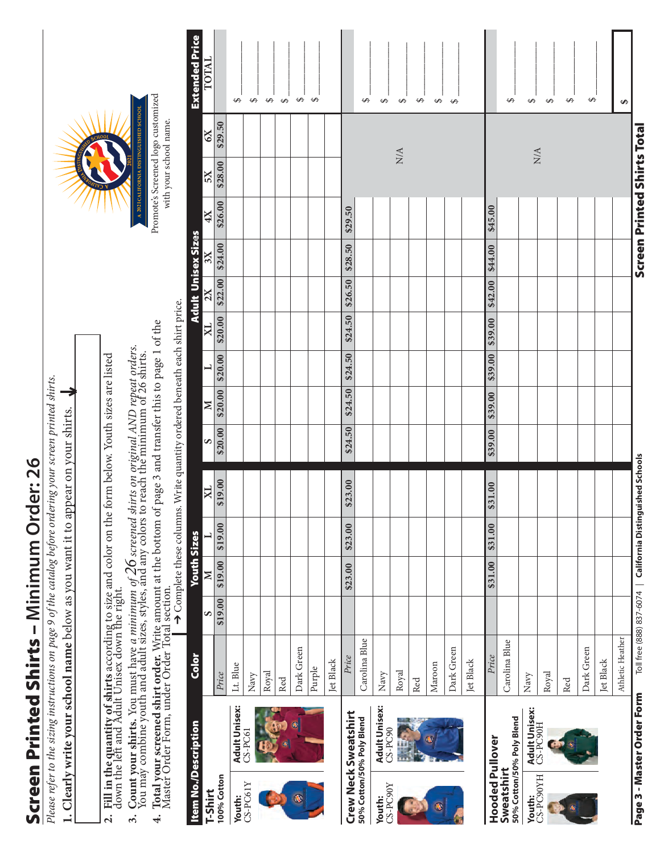## Screen Printed Shirts - Minimum Order: 26 Screen Printed Shirts – **Minimum Order: 26**

Please refer to the sizing instructions on page 9 of the catalog before ordering your screen printed shirts. *Please refer to the sizing instructions on page 9 of the catalog before ordering your screen printed shirts.*

1. Clearly write your school name below as you want it to appear on your shirts. **1. Clearly write your school name** below as you want it to appear on your shirts. Fill in the quantity of shirts according to size and color on the form below. Youth sizes are listed<br>down the left and Adult Unisex down the right. **2. Fill in the quantity of shirts** according to size and color on the form below. Youth sizes are listed down the left and Adult Unisex down the right.  $\overline{a}$ 

- **Count your shirts.** You must have a minimum of  $26$  screened shirts on original AND repeat orders.<br>You may combine youth and adult sizes, styles, and any colors to reach the minimum of 26 shirts. **3. Count your shirts.** You must have *a minimum of 26 screened shirts on original AND repeat orders.* You may combine youth and adult sizes, styles, and any colors to reach the minimum of 26 shirts.  $\ddot{\mathcal{E}}$
- Total your screened shirt order. Write amount at the bottom of page 3 and transfer this to page 1 of the Master Order Form, under Order Total section. **4. Total your screened shirt order.** Write amount at the bottom of page 3 and transfer this to page 1 of the Master Order Form, under Order Total section. 4.

 $\rightarrow$  Complete these columns. Write quantity ordered beneath each shirt price. ➔ Complete these columns. Write quantity ordered beneath each shirt price.

| SCHOOL<br>THE PASSING<br>2021 | A 2021 CALIFORNIA DISTINGUISHED SCHOOL |
|-------------------------------|----------------------------------------|
| ÿ                             |                                        |

| Promote's Screened logo customized | vith your school name. |
|------------------------------------|------------------------|
|                                    |                        |

| Item No./Description                                    | Color            |         | <b>Youth Sizes</b> |         |                                                             |         |              |                |              |         | <b>Adult Unisex Sizes</b> |         |                             |         | <b>Extended Price</b> |
|---------------------------------------------------------|------------------|---------|--------------------|---------|-------------------------------------------------------------|---------|--------------|----------------|--------------|---------|---------------------------|---------|-----------------------------|---------|-----------------------|
| T-Shirt                                                 |                  | S       | N                  |         | X <sub>L</sub>                                              | S       | $\mathbf{N}$ | $\overline{a}$ | $\mathbb{R}$ | 2X      | $_{\rm 3X}$               | 4X      | 5X                          | 6X      | TOTAL                 |
| 100% Cotton                                             | Price            | \$19.00 | \$19.00            | \$19.00 | \$19.00                                                     | \$20.00 | \$20.00      | \$20.00        | \$20.00      | \$22.00 | \$24.00                   | \$26.00 | \$28.00                     | \$29.50 |                       |
| <b>Adult Unisex:</b><br>Youth:                          | Lt. Blue         |         |                    |         |                                                             |         |              |                |              |         |                           |         |                             |         | ↔                     |
| $CS-PC61$<br>CS-PC61Y                                   | Navy             |         |                    |         |                                                             |         |              |                |              |         |                           |         |                             |         | $\bullet$             |
|                                                         | Royal            |         |                    |         |                                                             |         |              |                |              |         |                           |         |                             |         | $\leftrightarrow$     |
|                                                         | Red              |         |                    |         |                                                             |         |              |                |              |         |                           |         |                             |         | $\leftrightarrow$     |
| A)                                                      | Dark Green       |         |                    |         |                                                             |         |              |                |              |         |                           |         |                             |         | $\leftrightarrow$     |
|                                                         | Purple           |         |                    |         |                                                             |         |              |                |              |         |                           |         |                             |         | $\Theta$              |
|                                                         | Jet Black        |         |                    |         |                                                             |         |              |                |              |         |                           |         |                             |         |                       |
| Crew Neck Sweatshirt                                    | Price            |         | \$23.00            | \$23.00 | \$23.00                                                     | \$24.50 | \$24.50      | \$24.50        | \$24.50      | \$26.50 | \$28.50                   | \$29.50 |                             |         |                       |
| 50% Cotton/50% Poly Blend                               | Carolina Blue    |         |                    |         |                                                             |         |              |                |              |         |                           |         |                             |         | ↔                     |
| <b>Adult Unisex:</b><br>CS-PC90<br>CS-PC90Y<br>Youth:   | Navy             |         |                    |         |                                                             |         |              |                |              |         |                           |         |                             |         | $\Theta$              |
| Ì                                                       | Royal            |         |                    |         |                                                             |         |              |                |              |         |                           |         | ${\rm N/A}$                 |         | $\bullet$             |
|                                                         | Red              |         |                    |         |                                                             |         |              |                |              |         |                           |         |                             |         | $\Theta$              |
| 衢                                                       | Maroon           |         |                    |         |                                                             |         |              |                |              |         |                           |         |                             |         | ↮                     |
|                                                         | Dark Green       |         |                    |         |                                                             |         |              |                |              |         |                           |         |                             |         | $\leftrightarrow$     |
|                                                         | Jet Black        |         |                    |         |                                                             |         |              |                |              |         |                           |         |                             |         |                       |
| <b>Hooded Pullover</b>                                  | Price            |         | \$31.00            | \$31.00 | \$31.00                                                     | \$39.00 | \$39.00      | \$39.00        | \$39.00      | \$42.00 | \$44.00                   | \$45.00 |                             |         |                       |
| 50% Cotton/50% Poly Blend<br>Sweatshirt                 | Carolina Blue    |         |                    |         |                                                             |         |              |                |              |         |                           |         |                             |         | ↮                     |
| <b>Adult Unisex:</b><br>CS-PC90H<br>Youth:<br>CS-PC90YH | Navy             |         |                    |         |                                                             |         |              |                |              |         |                           |         | ${\rm N/A}$                 |         | $\Theta$              |
|                                                         | Royal            |         |                    |         |                                                             |         |              |                |              |         |                           |         |                             |         | $\Theta$              |
|                                                         | Red              |         |                    |         |                                                             |         |              |                |              |         |                           |         |                             |         | $\Theta$              |
|                                                         | Dark Green       |         |                    |         |                                                             |         |              |                |              |         |                           |         |                             |         | $\Theta$              |
|                                                         | Jet Black        |         |                    |         |                                                             |         |              |                |              |         |                           |         |                             |         |                       |
|                                                         | Athletic Heather |         |                    |         |                                                             |         |              |                |              |         |                           |         |                             |         | ↮                     |
| Page 3 - Master Order Form                              |                  |         |                    |         | Toll free (888) 837-6074   California Distinguished Schools |         |              |                |              |         |                           |         | Screen Printed Shirts Total |         |                       |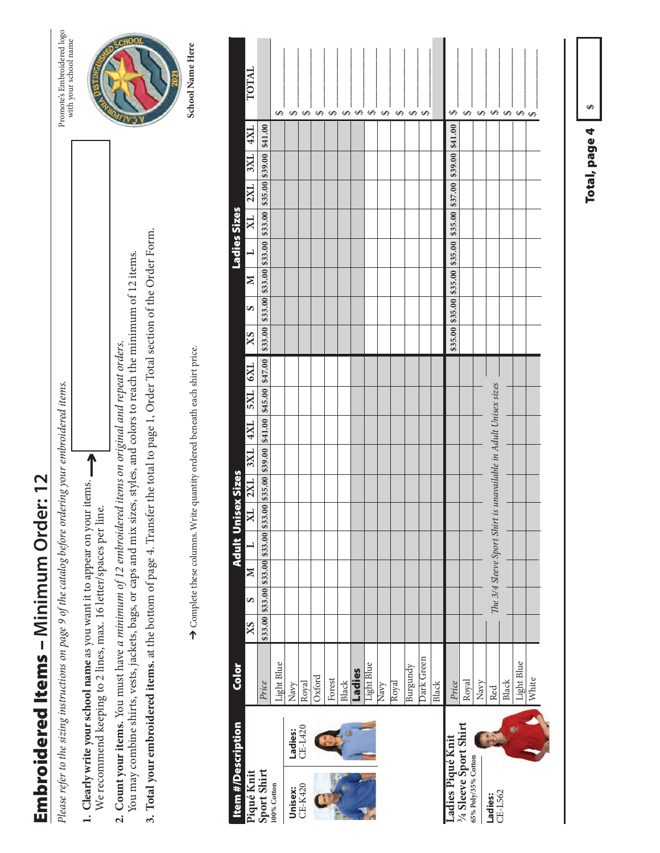## Embroidered Items - Minimum Order: 12 Embroidered Items – **Minimum Order: 12**

Please refer to the sizing instructions on page 9 of the catalog before ordering your embroidered items. *Please refer to the sizing instructions on page 9 of the catalog before ordering your embroidered items.*

- 1. Clearly write your school name as you want it to appear on your items. **1. Clearly write your school name** as you want it to appear on your items. We recommend keeping to 2 lines, max. 16 letter/spaces per line. We recommend keeping to 2 lines, max. 16 letter/spaces per line.
- You may combine shirts, vests, jackets, bags, or caps and mix sizes, styles, and colors to reach the minimum of 12 items. You may combine shirts, vests, jackets, bags, or caps and mix sizes, styles, and colors to reach the minimum of 12 items. 2. Count your items. You must have a minimum of 12 embroidered items on original and repeat orders. **2. Count your items.** You must have *a minimum of 12 embroidered items on original and repeat orders.*
- **3. Total your embroidered items.** at the bottom of page 4. Transfer the total to page 1, Order Total section of the Order Form. 3. Total your embroidered items. at the bottom of page 4. Transfer the total to page 1, Order Total section of the Order Form.

➔ Complete these columns. Write quantity ordered beneath each shirt price.  $\rightarrow$  Complete these columns. Write quantity ordered beneath each shirt price.

Promote's Embroidered logo<br>with your school name Promote's Embroidered logo with your school name



| <b>Item #/Description</b>                     |                    | Color      |    |   |        | <b>Adult Unisex Sizes</b> |        |                                                                                                               |     |                  |                                                                 |         |         |   |                                                                 | Ladies Sizes             |                         |                                 |     |                                |       |
|-----------------------------------------------|--------------------|------------|----|---|--------|---------------------------|--------|---------------------------------------------------------------------------------------------------------------|-----|------------------|-----------------------------------------------------------------|---------|---------|---|-----------------------------------------------------------------|--------------------------|-------------------------|---------------------------------|-----|--------------------------------|-------|
| Piqué Knit<br>Sport Shirt                     |                    |            | XS | S | $\geq$ | ⊣                         | XL 2XL |                                                                                                               | 3XL | $ \overline{XX}$ | <b>EXT</b>   <b>2XT</b>                                         |         | XS      | S | $\mathbf{N}$                                                    | $\overline{\phantom{0}}$ | $\overline{\mathbf{X}}$ | 2XL                             | 3XL | 4XL                            | TOTAL |
|                                               |                    | Price      |    |   |        |                           |        | $$33.00 \,   $33.00 \,   $33.00 \,   $33.00 \,   $33.00 \,   $35.00 \,   $39.00 \,   $41.00 \,   $45.00 \,  $ |     |                  |                                                                 | \$47.00 | \$33.00 |   | $$33.00 \,$ \$33.00 \$33.00                                     |                          |                         | \$33.00 \$35.00 \$39.00 \$41.00 |     |                                |       |
| 100% Cotton                                   |                    | Light Blue |    |   |        |                           |        |                                                                                                               |     |                  |                                                                 |         |         |   |                                                                 |                          |                         |                                 |     | ↔                              |       |
| Unisex:<br>CE-K420                            | Ladies:<br>CE-L420 | Navy       |    |   |        |                           |        |                                                                                                               |     |                  |                                                                 |         |         |   |                                                                 |                          |                         |                                 |     | ↔                              |       |
|                                               |                    | Royal      |    |   |        |                           |        |                                                                                                               |     |                  |                                                                 |         |         |   |                                                                 |                          |                         |                                 |     | $\Theta$                       |       |
|                                               |                    | Oxford     |    |   |        |                           |        |                                                                                                               |     |                  |                                                                 |         |         |   |                                                                 |                          |                         |                                 |     | ↔                              |       |
|                                               |                    | Forest     |    |   |        |                           |        |                                                                                                               |     |                  |                                                                 |         |         |   |                                                                 |                          |                         |                                 |     | ↔                              |       |
|                                               |                    | Black      |    |   |        |                           |        |                                                                                                               |     |                  |                                                                 |         |         |   |                                                                 |                          |                         |                                 |     | ↮                              |       |
|                                               |                    | Ladies     |    |   |        |                           |        |                                                                                                               |     |                  |                                                                 |         |         |   |                                                                 |                          |                         |                                 |     | ↔                              |       |
|                                               |                    | Light Blue |    |   |        |                           |        |                                                                                                               |     |                  |                                                                 |         |         |   |                                                                 |                          |                         |                                 |     | ↮                              |       |
|                                               |                    | Navy       |    |   |        |                           |        |                                                                                                               |     |                  |                                                                 |         |         |   |                                                                 |                          |                         |                                 |     | ↮                              |       |
|                                               |                    | Royal      |    |   |        |                           |        |                                                                                                               |     |                  |                                                                 |         |         |   |                                                                 |                          |                         |                                 |     | ↔                              |       |
|                                               |                    | Burgundy   |    |   |        |                           |        |                                                                                                               |     |                  |                                                                 |         |         |   |                                                                 |                          |                         |                                 |     | ↔                              |       |
|                                               |                    | Dark Green |    |   |        |                           |        |                                                                                                               |     |                  |                                                                 |         |         |   |                                                                 |                          |                         |                                 |     | ↔                              |       |
|                                               |                    | Black      |    |   |        |                           |        |                                                                                                               |     |                  |                                                                 |         |         |   |                                                                 |                          |                         |                                 |     |                                |       |
| Ladies Piqué Knit                             |                    | Price      |    |   |        |                           |        |                                                                                                               |     |                  |                                                                 |         |         |   | \$35.00 \$35.00 \$35.00 \$35.00 \$35.00 \$37.00 \$39.00 \$41.00 |                          |                         |                                 |     | ↮                              |       |
| 3/4 Sleeve Sport Shirt<br>65% Poly/35% Cotton |                    | Royal      |    |   |        |                           |        |                                                                                                               |     |                  |                                                                 |         |         |   |                                                                 |                          |                         |                                 |     | ↔                              |       |
|                                               |                    | Navy       |    |   |        |                           |        |                                                                                                               |     |                  |                                                                 |         |         |   |                                                                 |                          |                         |                                 |     | ↮                              |       |
| Ladies:<br>CE-L562                            |                    | Red        |    |   |        |                           |        |                                                                                                               |     |                  | The 3/4 Sleeve Sport Shirt is unavailable in Adult Unisex sizes |         |         |   |                                                                 |                          |                         |                                 |     | ↔                              |       |
|                                               |                    | Black      |    |   |        |                           |        |                                                                                                               |     |                  |                                                                 |         |         |   |                                                                 |                          |                         |                                 |     | $\color{red}\boldsymbol\Theta$ |       |
|                                               |                    | Light Blue |    |   |        |                           |        |                                                                                                               |     |                  |                                                                 |         |         |   |                                                                 |                          |                         |                                 |     | $\Theta$                       |       |
|                                               |                    | White      |    |   |        |                           |        |                                                                                                               |     |                  |                                                                 |         |         |   |                                                                 |                          |                         |                                 |     |                                |       |
|                                               |                    |            |    |   |        |                           |        |                                                                                                               |     |                  |                                                                 |         |         |   |                                                                 |                          |                         |                                 |     |                                |       |

Total, page 4 **\$**

Total, page 4

Ø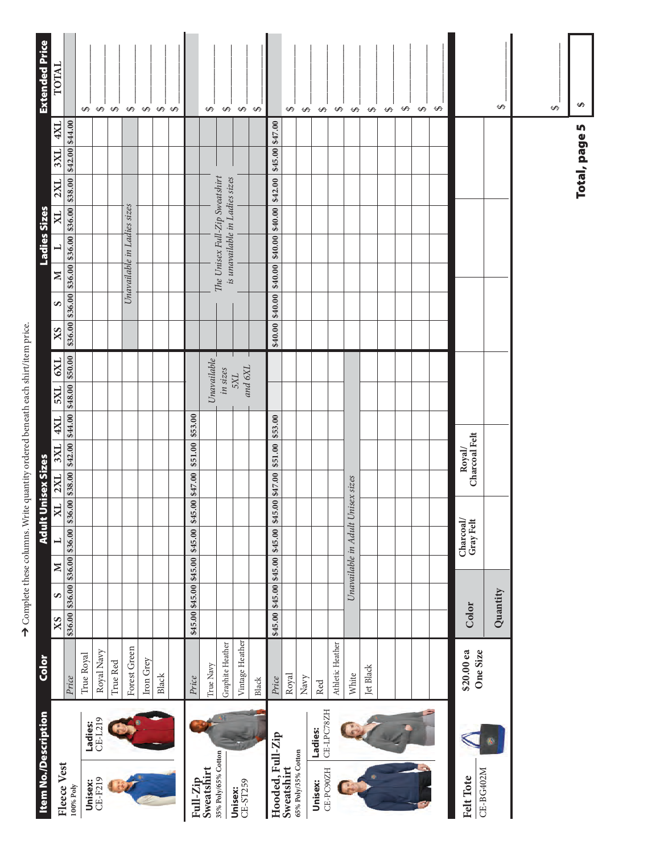| <b>Item No./Description</b> |                       | <b>Color</b>           |          |                         |        | <b>Adult</b>                      |                                    | <b>Unisex Sizes</b> |                                                                 |         |                                                                                          |    |   |                                             | <b>Ladies Sizes</b> |                                                                           |         |                 | <b>Extended Price</b> |
|-----------------------------|-----------------------|------------------------|----------|-------------------------|--------|-----------------------------------|------------------------------------|---------------------|-----------------------------------------------------------------|---------|------------------------------------------------------------------------------------------|----|---|---------------------------------------------|---------------------|---------------------------------------------------------------------------|---------|-----------------|-----------------------|
| Fleece Vest                 |                       |                        | XS       | S                       | $\geq$ |                                   | XL                                 | 2XL                 | 3XL                                                             | 4XL     | 6XL<br><b>IXS</b>                                                                        | XS | S | $\geq$                                      |                     | $\overline{\mathbf{X}}$                                                   | 2XL     | 4XL<br>3XL      | TOTAL                 |
| 100% Poly                   |                       | Price                  |          |                         |        |                                   |                                    |                     |                                                                 |         | $$36.00 $356.00 $356.00 $356.00 $356.00 $336.00 $338.00 $342.00 $344.00 $348.00 $350.00$ |    |   |                                             |                     | $$36.00 \, \, $36.00 \, \, $36.00 \, \, $36.00 \, \, $36.00 \, \, $38.00$ |         | \$42.00 \$44.00 |                       |
|                             | Ladies:               | True Royal             |          |                         |        |                                   |                                    |                     |                                                                 |         |                                                                                          |    |   |                                             |                     |                                                                           |         |                 |                       |
| Unisex:<br>CE-F219          | CE-L219               | Royal Navy             |          |                         |        |                                   |                                    |                     |                                                                 |         |                                                                                          |    |   |                                             |                     |                                                                           |         |                 |                       |
|                             |                       | True Red               |          |                         |        |                                   |                                    |                     |                                                                 |         |                                                                                          |    |   |                                             |                     |                                                                           |         |                 | <b>\$\$\$\$\$</b>     |
|                             |                       | Forest Green           |          |                         |        |                                   |                                    |                     |                                                                 |         |                                                                                          |    |   | Unavailable in Ladies sizes                 |                     |                                                                           |         |                 |                       |
|                             |                       | Iron Grey              |          |                         |        |                                   |                                    |                     |                                                                 |         |                                                                                          |    |   |                                             |                     |                                                                           |         |                 | $\Theta$              |
|                             |                       | Black                  |          |                         |        |                                   |                                    |                     |                                                                 |         |                                                                                          |    |   |                                             |                     |                                                                           |         |                 | $\Theta$ $\Theta$     |
|                             |                       |                        |          |                         |        |                                   |                                    |                     |                                                                 |         |                                                                                          |    |   |                                             |                     |                                                                           |         |                 |                       |
|                             |                       | Price                  |          | \$45.00 \$45.00 \$45.00 |        | \$45.00                           | 5.00 \$47.00<br>$\mathbf{\hat{a}}$ |                     | \$51.00                                                         | \$53.00 |                                                                                          |    |   |                                             |                     |                                                                           |         |                 |                       |
| Full-Zip<br>Sweatshirt      |                       | True Navy              |          |                         |        |                                   |                                    |                     |                                                                 |         | Unavailable                                                                              |    |   |                                             |                     |                                                                           |         |                 | $\Theta$              |
| 35% Poly/65% Cotton         |                       | Graphite Heather       |          |                         |        |                                   |                                    |                     |                                                                 |         | in sizes                                                                                 |    |   |                                             |                     | The Unisex Full-Zip Sweatshirt<br>is unavailable in Ladies sizes          |         |                 |                       |
| CE-ST259<br>Unisex:         |                       | Vintage Heather        |          |                         |        |                                   |                                    |                     |                                                                 |         | and 6XL<br>5XL                                                                           |    |   |                                             |                     |                                                                           |         |                 | $\theta$ $\theta$     |
|                             |                       | Black                  |          |                         |        |                                   |                                    |                     |                                                                 |         |                                                                                          |    |   |                                             |                     |                                                                           |         |                 | $\leftrightarrow$     |
| Hooded, Full-Zip            |                       | Price                  |          |                         |        |                                   |                                    |                     | \$45.00 \$45.00 \$45.00 \$45.00 \$45.00 \$47.00 \$51.00 \$53.00 |         |                                                                                          |    |   | $ 840.00 $ $ 840.00 $ $ 840.00 $ $ 840.00 $ |                     |                                                                           | \$42.00 | \$45.00 \$47.00 |                       |
| Sweatshirt                  |                       | Royal                  |          |                         |        |                                   |                                    |                     |                                                                 |         |                                                                                          |    |   |                                             |                     |                                                                           |         |                 | $\Theta$              |
| 65% Poly/35% Cotton         |                       | Navy                   |          |                         |        |                                   |                                    |                     |                                                                 |         |                                                                                          |    |   |                                             |                     |                                                                           |         |                 | $\Theta$              |
| CE-PC90ZH<br>Unisex:        | CE-LPC78ZH<br>Ladies: | Red                    |          |                         |        |                                   |                                    |                     |                                                                 |         |                                                                                          |    |   |                                             |                     |                                                                           |         |                 | $\Theta$              |
|                             |                       | Athletic Heather       |          |                         |        |                                   |                                    |                     |                                                                 |         |                                                                                          |    |   |                                             |                     |                                                                           |         |                 | $\Theta$              |
|                             |                       | White                  |          |                         |        | Unavailable in Adult Unisex sizes |                                    |                     |                                                                 |         |                                                                                          |    |   |                                             |                     |                                                                           |         |                 | $\Theta$              |
|                             |                       | Jet Black              |          |                         |        |                                   |                                    |                     |                                                                 |         |                                                                                          |    |   |                                             |                     |                                                                           |         |                 | $\Theta$              |
|                             |                       |                        |          |                         |        |                                   |                                    |                     |                                                                 |         |                                                                                          |    |   |                                             |                     |                                                                           |         |                 | $\Theta$              |
|                             |                       |                        |          |                         |        |                                   |                                    |                     |                                                                 |         |                                                                                          |    |   |                                             |                     |                                                                           |         |                 | $\Theta$              |
|                             |                       |                        |          |                         |        |                                   |                                    |                     |                                                                 |         |                                                                                          |    |   |                                             |                     |                                                                           |         |                 | $\Theta$              |
|                             |                       |                        |          |                         |        |                                   |                                    |                     |                                                                 |         |                                                                                          |    |   |                                             |                     |                                                                           |         |                 | $\Theta$              |
| Felt Tote                   |                       | \$20.00 ea<br>One Size | Color    |                         |        | Charcoal/<br>Gray Felt            |                                    |                     | Charcoal Felt<br>Royal                                          |         |                                                                                          |    |   |                                             |                     |                                                                           |         |                 |                       |
| CE-BG402M                   |                       |                        | Quantity |                         |        |                                   |                                    |                     |                                                                 |         |                                                                                          |    |   |                                             |                     |                                                                           |         |                 | ↮                     |
|                             |                       |                        |          |                         |        |                                   |                                    |                     |                                                                 |         |                                                                                          |    |   |                                             |                     |                                                                           |         |                 |                       |
|                             |                       |                        |          |                         |        |                                   |                                    |                     |                                                                 |         |                                                                                          |    |   |                                             |                     |                                                                           |         |                 | $\Theta$              |
|                             |                       |                        |          |                         |        |                                   |                                    |                     |                                                                 |         |                                                                                          |    |   |                                             |                     |                                                                           |         |                 |                       |
|                             |                       |                        |          |                         |        |                                   |                                    |                     |                                                                 |         |                                                                                          |    |   |                                             |                     |                                                                           |         | Total, page 5   | ↮                     |

 $\rightarrow$  Complete these columns. Write quantity ordered beneath each shirt/item price.